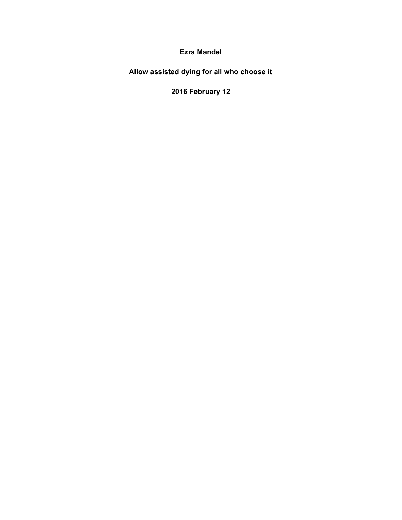**Ezra Mandel**

**Allow assisted dying for all who choose it**

**2016 February 12**